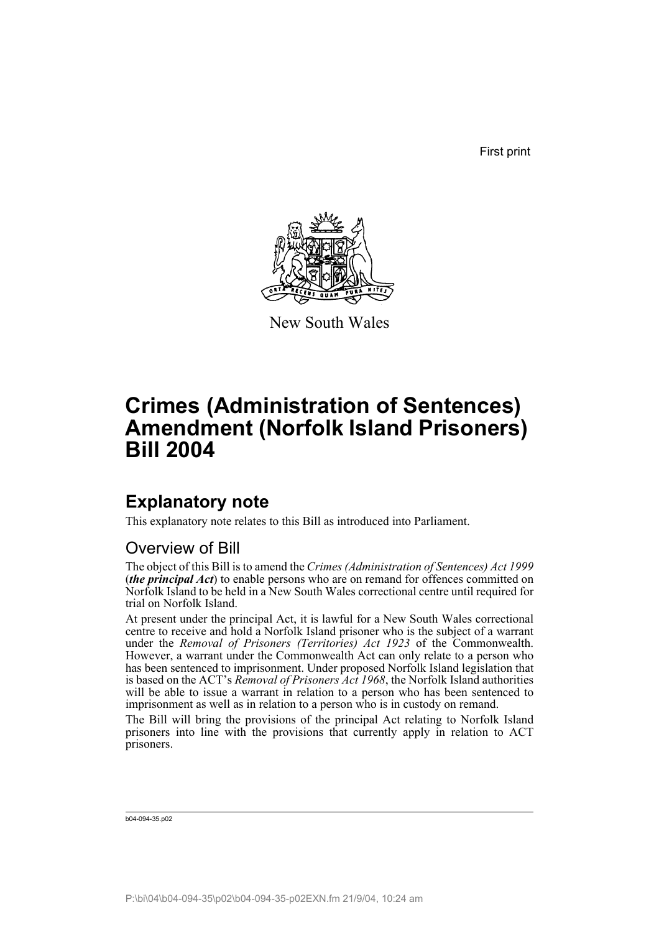First print



New South Wales

# **Crimes (Administration of Sentences) Amendment (Norfolk Island Prisoners) Bill 2004**

### **Explanatory note**

This explanatory note relates to this Bill as introduced into Parliament.

#### Overview of Bill

The object of this Bill is to amend the *Crimes (Administration of Sentences) Act 1999* (*the principal Act*) to enable persons who are on remand for offences committed on Norfolk Island to be held in a New South Wales correctional centre until required for trial on Norfolk Island.

At present under the principal Act, it is lawful for a New South Wales correctional centre to receive and hold a Norfolk Island prisoner who is the subject of a warrant under the *Removal of Prisoners (Territories) Act 1923* of the Commonwealth. However, a warrant under the Commonwealth Act can only relate to a person who has been sentenced to imprisonment. Under proposed Norfolk Island legislation that is based on the ACT's *Removal of Prisoners Act 1968*, the Norfolk Island authorities will be able to issue a warrant in relation to a person who has been sentenced to imprisonment as well as in relation to a person who is in custody on remand.

The Bill will bring the provisions of the principal Act relating to Norfolk Island prisoners into line with the provisions that currently apply in relation to ACT prisoners.

```
b04-094-35.p02
```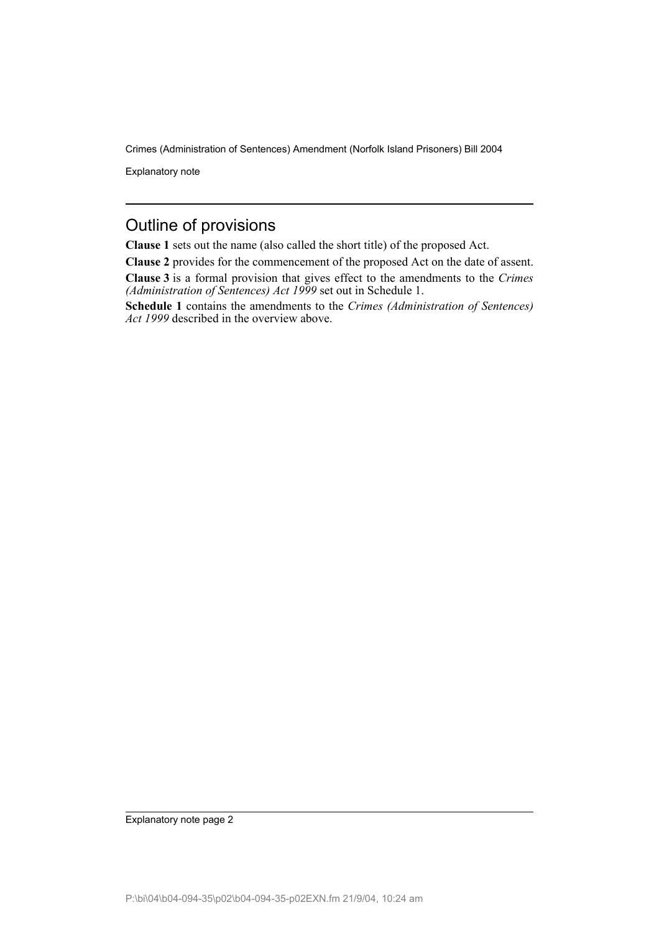Explanatory note

#### Outline of provisions

**Clause 1** sets out the name (also called the short title) of the proposed Act.

**Clause 2** provides for the commencement of the proposed Act on the date of assent.

**Clause 3** is a formal provision that gives effect to the amendments to the *Crimes (Administration of Sentences) Act 1999* set out in Schedule 1.

**Schedule 1** contains the amendments to the *Crimes (Administration of Sentences) Act 1999* described in the overview above.

Explanatory note page 2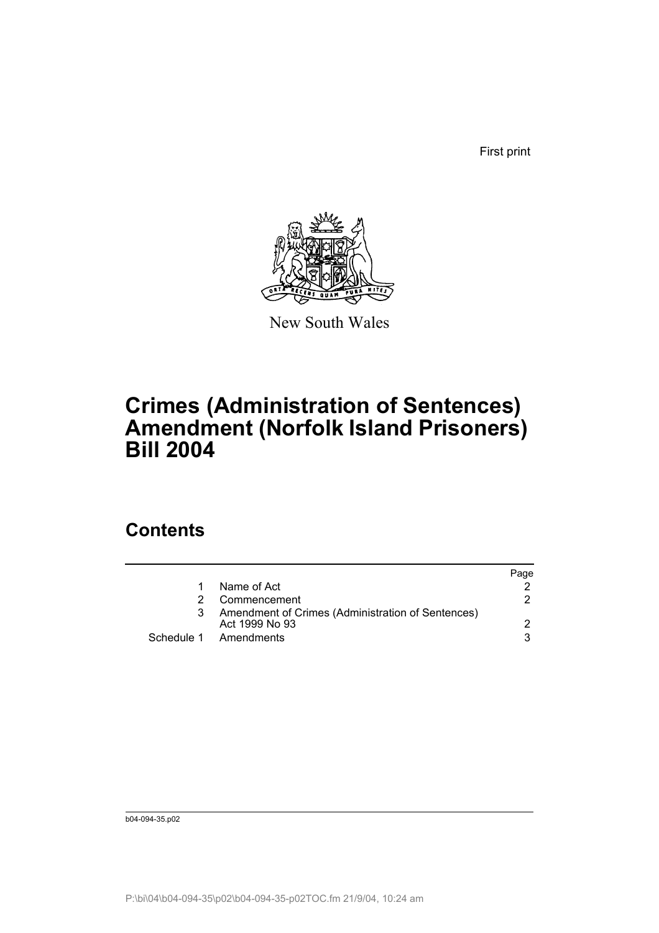First print



New South Wales

# **Crimes (Administration of Sentences) Amendment (Norfolk Island Prisoners) Bill 2004**

## **Contents**

|   |                                                                     | Page |
|---|---------------------------------------------------------------------|------|
|   | Name of Act                                                         |      |
|   | Commencement                                                        | 2    |
| 3 | Amendment of Crimes (Administration of Sentences)<br>Act 1999 No 93 |      |
|   | Schedule 1 Amendments                                               | વ    |

b04-094-35.p02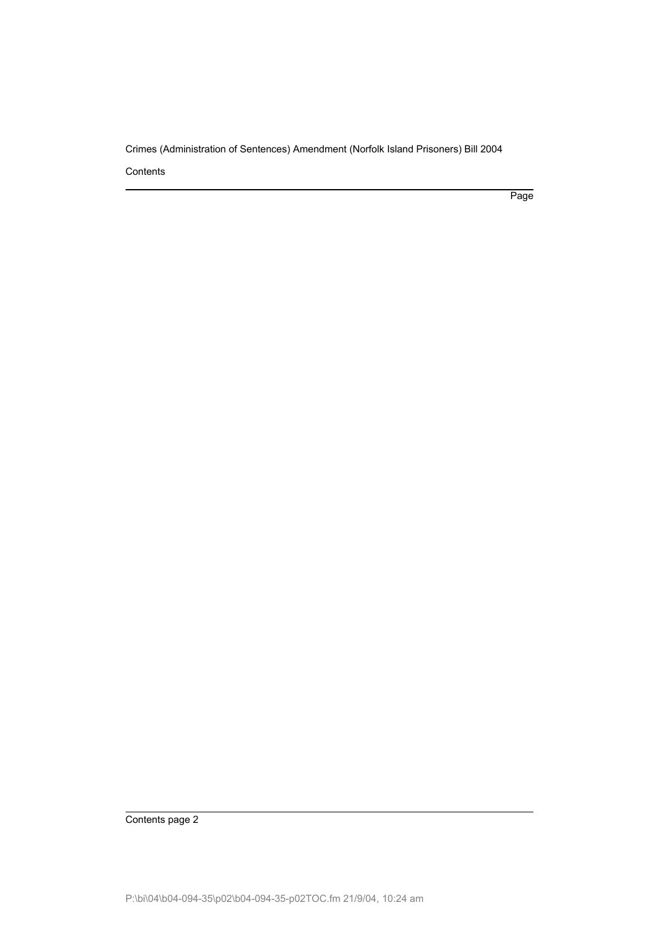**Contents** 

Page

Contents page 2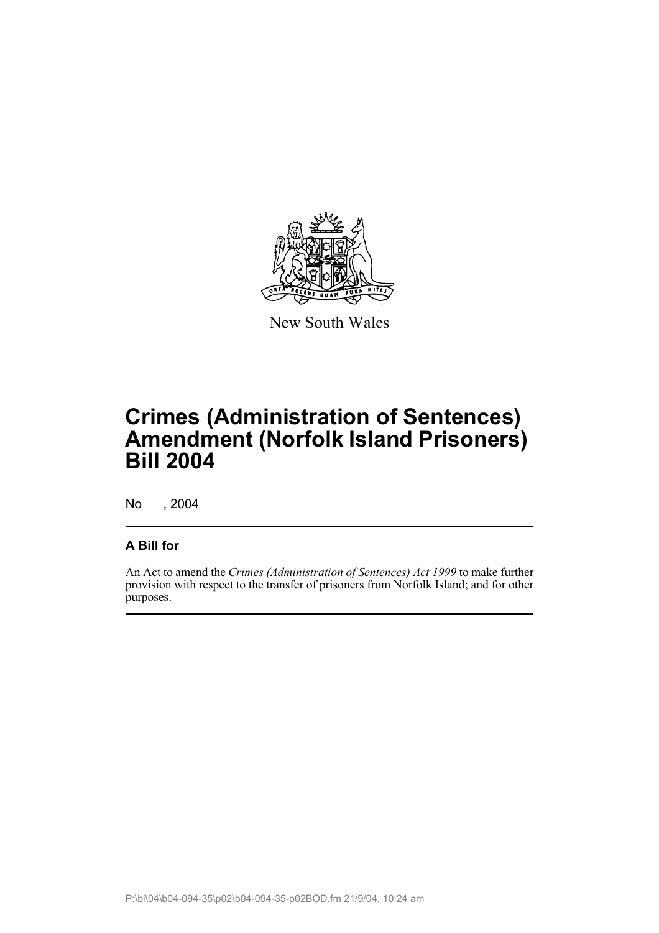

New South Wales

# **Crimes (Administration of Sentences) Amendment (Norfolk Island Prisoners) Bill 2004**

No , 2004

#### **A Bill for**

An Act to amend the *Crimes (Administration of Sentences) Act 1999* to make further provision with respect to the transfer of prisoners from Norfolk Island; and for other purposes.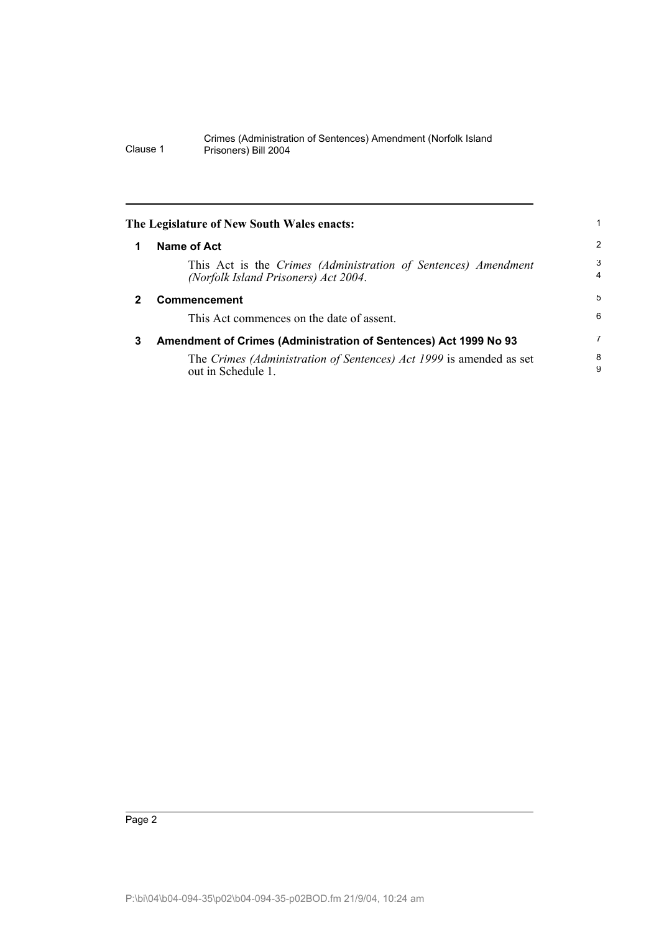| The Legislature of New South Wales enacts: |                                                                                                        |                     |  |  |
|--------------------------------------------|--------------------------------------------------------------------------------------------------------|---------------------|--|--|
| 1                                          | Name of Act                                                                                            | 2                   |  |  |
|                                            | This Act is the Crimes (Administration of Sentences) Amendment<br>(Norfolk Island Prisoners) Act 2004. | 3<br>$\overline{4}$ |  |  |
| 2                                          | <b>Commencement</b>                                                                                    | 5                   |  |  |
|                                            | This Act commences on the date of assent.                                                              | 6                   |  |  |
| 3                                          | Amendment of Crimes (Administration of Sentences) Act 1999 No 93                                       | 7                   |  |  |
|                                            | The Crimes (Administration of Sentences) Act 1999 is amended as set<br>out in Schedule 1.              | 8<br>9              |  |  |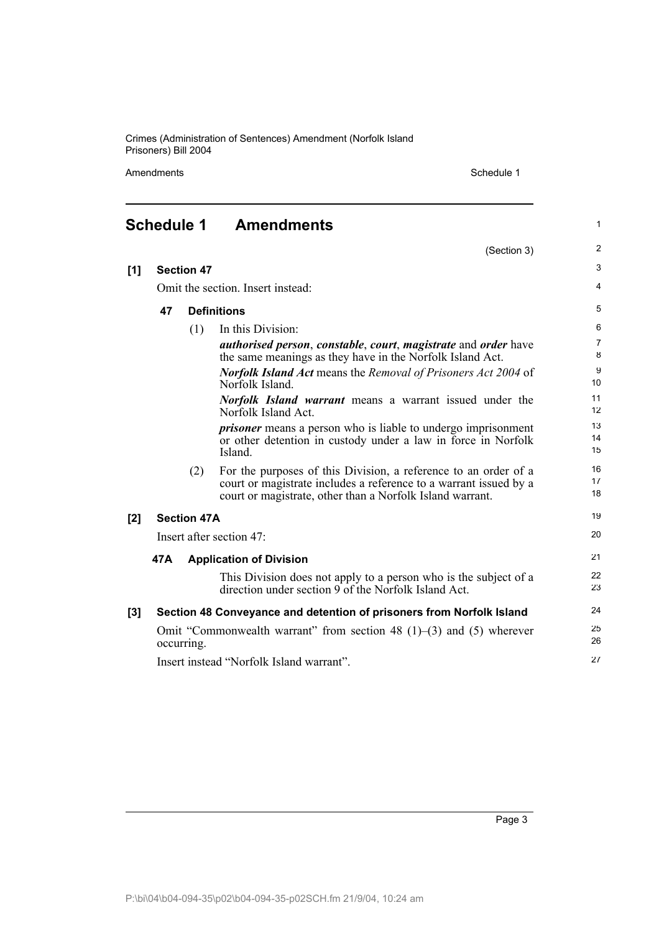Amendments Schedule 1

(Section 3)

1

2

| <b>Amendments</b> |
|-------------------|
|                   |

| [1] |                                                                                            | <b>Section 47</b>  |                                                                                                                                                                                                   | 3                   |
|-----|--------------------------------------------------------------------------------------------|--------------------|---------------------------------------------------------------------------------------------------------------------------------------------------------------------------------------------------|---------------------|
|     | Omit the section. Insert instead:                                                          |                    | $\overline{4}$                                                                                                                                                                                    |                     |
|     | 47                                                                                         |                    | <b>Definitions</b>                                                                                                                                                                                | 5                   |
|     |                                                                                            | (1)                | In this Division:                                                                                                                                                                                 | 6                   |
|     |                                                                                            |                    | <i>authorised person, constable, court, magistrate and order have</i><br>the same meanings as they have in the Norfolk Island Act.                                                                | $\overline{7}$<br>8 |
|     |                                                                                            |                    | <b>Norfolk Island Act means the Removal of Prisoners Act 2004 of</b><br>Norfolk Island.                                                                                                           | 9<br>10             |
|     |                                                                                            |                    | <b>Norfolk Island warrant</b> means a warrant issued under the<br>Norfolk Island Act.                                                                                                             | 11<br>12            |
|     |                                                                                            |                    | <i>prisoner</i> means a person who is liable to undergo imprisonment<br>or other detention in custody under a law in force in Norfolk<br>Island.                                                  | 13<br>14<br>15      |
|     |                                                                                            | (2)                | For the purposes of this Division, a reference to an order of a<br>court or magistrate includes a reference to a warrant issued by a<br>court or magistrate, other than a Norfolk Island warrant. | 16<br>17<br>18      |
| [2] |                                                                                            | <b>Section 47A</b> |                                                                                                                                                                                                   | 19                  |
|     |                                                                                            |                    | Insert after section 47:                                                                                                                                                                          | 20                  |
|     | 47A                                                                                        |                    | <b>Application of Division</b>                                                                                                                                                                    | 21                  |
|     |                                                                                            |                    | This Division does not apply to a person who is the subject of a<br>direction under section 9 of the Norfolk Island Act.                                                                          | 22<br>23            |
| [3] |                                                                                            |                    | Section 48 Conveyance and detention of prisoners from Norfolk Island                                                                                                                              | 24                  |
|     | Omit "Commonwealth warrant" from section 48 $(1)$ – $(3)$ and $(5)$ wherever<br>occurring. |                    | 25<br>26                                                                                                                                                                                          |                     |
|     |                                                                                            |                    | Insert instead "Norfolk Island warrant".                                                                                                                                                          | 27                  |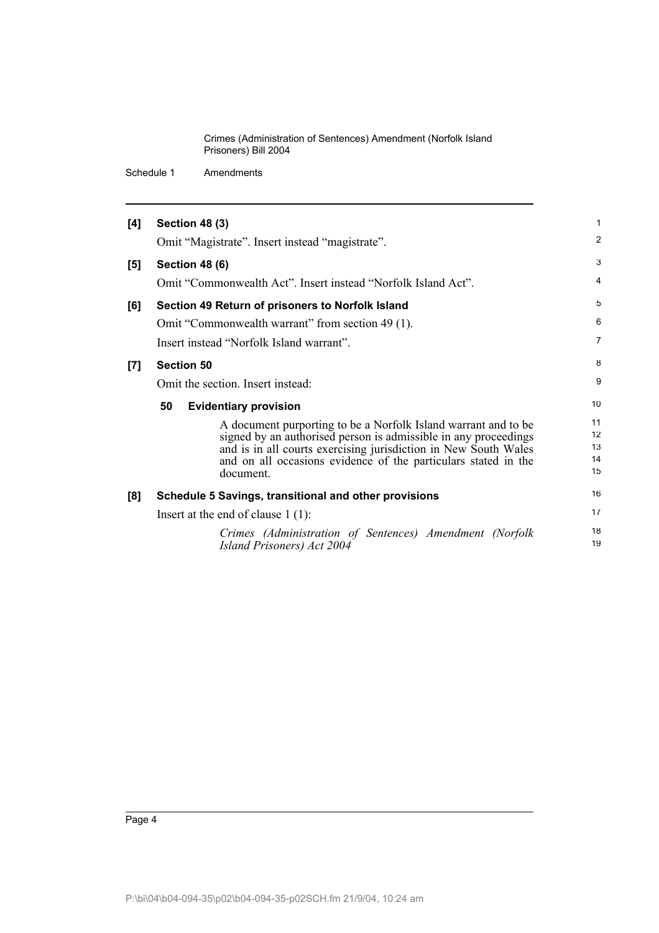Schedule 1 Amendments

| [4]   | <b>Section 48 (3)</b>                                                                                                                                                                                                                                                               | $\mathbf{1}$               |
|-------|-------------------------------------------------------------------------------------------------------------------------------------------------------------------------------------------------------------------------------------------------------------------------------------|----------------------------|
|       | Omit "Magistrate". Insert instead "magistrate".                                                                                                                                                                                                                                     | $\overline{2}$             |
| [5]   | <b>Section 48 (6)</b>                                                                                                                                                                                                                                                               | 3                          |
|       | Omit "Commonwealth Act". Insert instead "Norfolk Island Act".                                                                                                                                                                                                                       | $\overline{4}$             |
| [6]   | Section 49 Return of prisoners to Norfolk Island                                                                                                                                                                                                                                    | 5                          |
|       | Omit "Commonwealth warrant" from section 49 (1).                                                                                                                                                                                                                                    | 6                          |
|       | Insert instead "Norfolk Island warrant".                                                                                                                                                                                                                                            | $\overline{7}$             |
| $[7]$ | <b>Section 50</b>                                                                                                                                                                                                                                                                   | 8                          |
|       | Omit the section. Insert instead:                                                                                                                                                                                                                                                   | 9                          |
|       | 50<br><b>Evidentiary provision</b>                                                                                                                                                                                                                                                  | 10                         |
|       | A document purporting to be a Norfolk Island warrant and to be<br>signed by an authorised person is admissible in any proceedings<br>and is in all courts exercising jurisdiction in New South Wales<br>and on all occasions evidence of the particulars stated in the<br>document. | 11<br>12<br>13<br>14<br>15 |
| [8]   | Schedule 5 Savings, transitional and other provisions                                                                                                                                                                                                                               | 16                         |
|       | Insert at the end of clause $1(1)$ :                                                                                                                                                                                                                                                | 17                         |
|       | Crimes (Administration of Sentences) Amendment (Norfolk<br>Island Prisoners) Act 2004                                                                                                                                                                                               | 18<br>19                   |